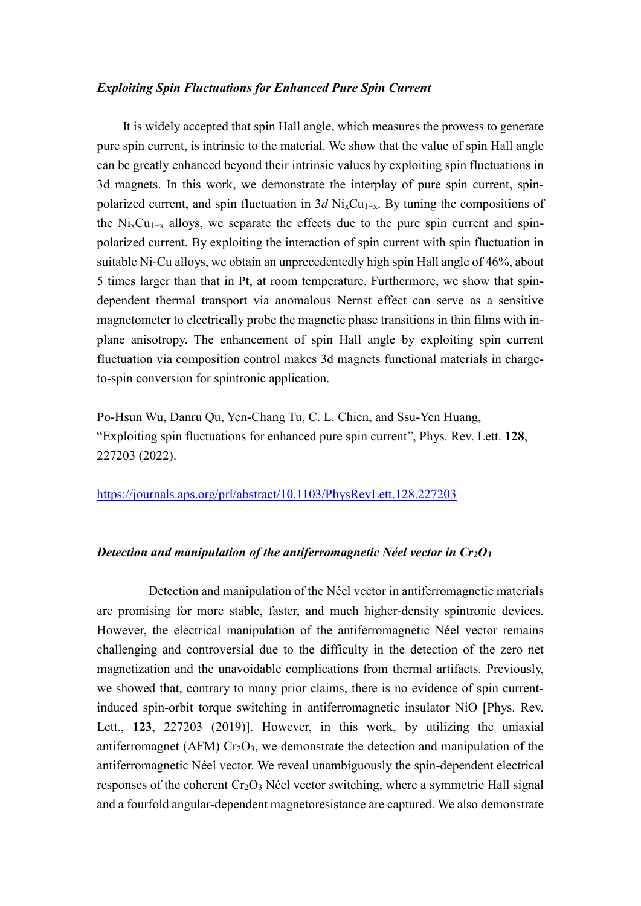## *Exploiting Spin Fluctuations for Enhanced Pure Spin Current*

 It is widely accepted that spin Hall angle, which measures the prowess to generate pure spin current, is intrinsic to the material. We show that the value of spin Hall angle can be greatly enhanced beyond their intrinsic values by exploiting spin fluctuations in 3d magnets. In this work, we demonstrate the interplay of pure spin current, spinpolarized current, and spin fluctuation in 3*d* Ni<sub>x</sub>Cu<sub>1−x</sub>. By tuning the compositions of the Ni<sub>x</sub>Cu<sub>1-x</sub> alloys, we separate the effects due to the pure spin current and spinpolarized current. By exploiting the interaction of spin current with spin fluctuation in suitable Ni-Cu alloys, we obtain an unprecedentedly high spin Hall angle of 46%, about 5 times larger than that in Pt, at room temperature. Furthermore, we show that spindependent thermal transport via anomalous Nernst effect can serve as a sensitive magnetometer to electrically probe the magnetic phase transitions in thin films with inplane anisotropy. The enhancement of spin Hall angle by exploiting spin current fluctuation via composition control makes 3d magnets functional materials in chargeto-spin conversion for spintronic application.

Po-Hsun Wu, Danru Qu, Yen-Chang Tu, C. L. Chien, and Ssu-Yen Huang, "Exploiting spin fluctuations for enhanced pure spin current", Phys. Rev. Lett. **128**, 227203 (2022).

<https://journals.aps.org/prl/abstract/10.1103/PhysRevLett.128.227203>

## *Detection and manipulation of the antiferromagnetic Néel vector in Cr2O<sup>3</sup>*

Detection and manipulation of the Néel vector in antiferromagnetic materials are promising for more stable, faster, and much higher-density spintronic devices. However, the electrical manipulation of the antiferromagnetic Néel vector remains challenging and controversial due to the difficulty in the detection of the zero net magnetization and the unavoidable complications from thermal artifacts. Previously, we showed that, contrary to many prior claims, there is no evidence of spin currentinduced spin-orbit torque switching in antiferromagnetic insulator NiO [Phys. Rev. Lett., **123**, 227203 (2019)]. However, in this work, by utilizing the uniaxial antiferromagnet (AFM)  $Cr_2O_3$ , we demonstrate the detection and manipulation of the antiferromagnetic Néel vector. We reveal unambiguously the spin-dependent electrical responses of the coherent  $Cr_2O_3$  Néel vector switching, where a symmetric Hall signal and a fourfold angular-dependent magnetoresistance are captured. We also demonstrate